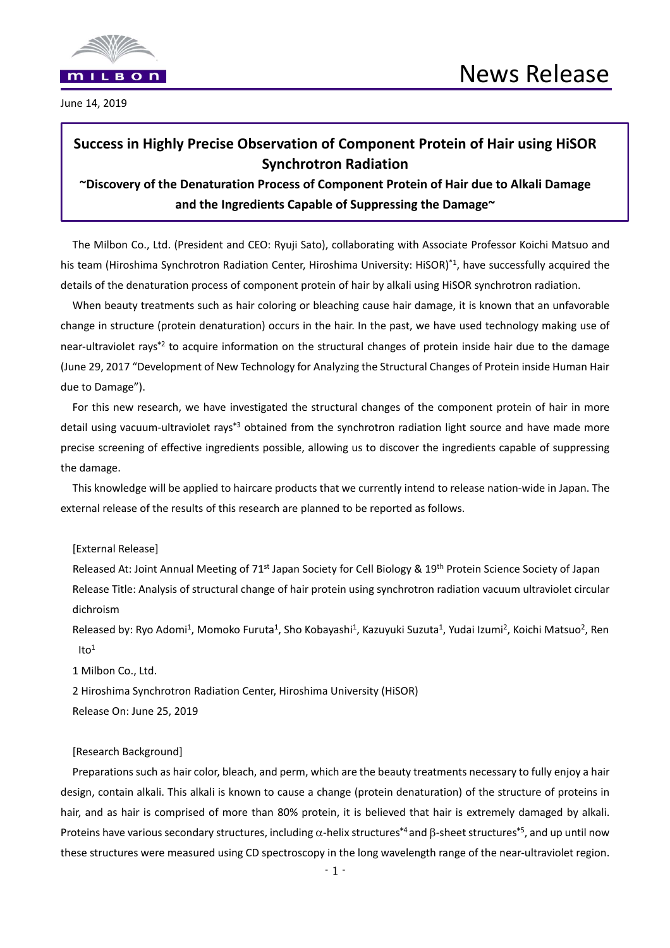

June 14, 2019

# **Success in Highly Precise Observation of Component Protein of Hair using HiSOR Synchrotron Radiation**

## **~Discovery of the Denaturation Process of Component Protein of Hair due to Alkali Damage and the Ingredients Capable of Suppressing the Damage~**

The Milbon Co., Ltd. (President and CEO: Ryuji Sato), collaborating with Associate Professor Koichi Matsuo and his team (Hiroshima Synchrotron Radiation Center, Hiroshima University: HiSOR)<sup>\*1</sup>, have successfully acquired the details of the denaturation process of component protein of hair by alkali using HiSOR synchrotron radiation.

When beauty treatments such as hair coloring or bleaching cause hair damage, it is known that an unfavorable change in structure (protein denaturation) occurs in the hair. In the past, we have used technology making use of near-ultraviolet rays\*<sup>2</sup> to acquire information on the structural changes of protein inside hair due to the damage (June 29, 2017 "Development of New Technology for Analyzing the Structural Changes of Protein inside Human Hair due to Damage").

For this new research, we have investigated the structural changes of the component protein of hair in more detail using vacuum-ultraviolet rays\*<sup>3</sup> obtained from the synchrotron radiation light source and have made more precise screening of effective ingredients possible, allowing us to discover the ingredients capable of suppressing the damage.

This knowledge will be applied to haircare products that we currently intend to release nation-wide in Japan. The external release of the results of this research are planned to be reported as follows.

[External Release]

Released At: Joint Annual Meeting of 71<sup>st</sup> Japan Society for Cell Biology & 19<sup>th</sup> Protein Science Society of Japan Release Title: Analysis of structural change of hair protein using synchrotron radiation vacuum ultraviolet circular dichroism

Released by: Ryo Adomi<sup>1</sup>, Momoko Furuta<sup>1</sup>, Sho Kobayashi<sup>1</sup>, Kazuyuki Suzuta<sup>1</sup>, Yudai Izumi<sup>2</sup>, Koichi Matsuo<sup>2</sup>, Ren  $Ito<sup>1</sup>$ 

1 Milbon Co., Ltd.

2 Hiroshima Synchrotron Radiation Center, Hiroshima University (HiSOR)

Release On: June 25, 2019

## [Research Background]

Preparations such as hair color, bleach, and perm, which are the beauty treatments necessary to fully enjoy a hair design, contain alkali. This alkali is known to cause a change (protein denaturation) of the structure of proteins in hair, and as hair is comprised of more than 80% protein, it is believed that hair is extremely damaged by alkali. Proteins have various secondary structures, including  $\alpha$ -helix structures<sup>\*4</sup> and  $\beta$ -sheet structures<sup>\*5</sup>, and up until now these structures were measured using CD spectroscopy in the long wavelength range of the near‐ultraviolet region.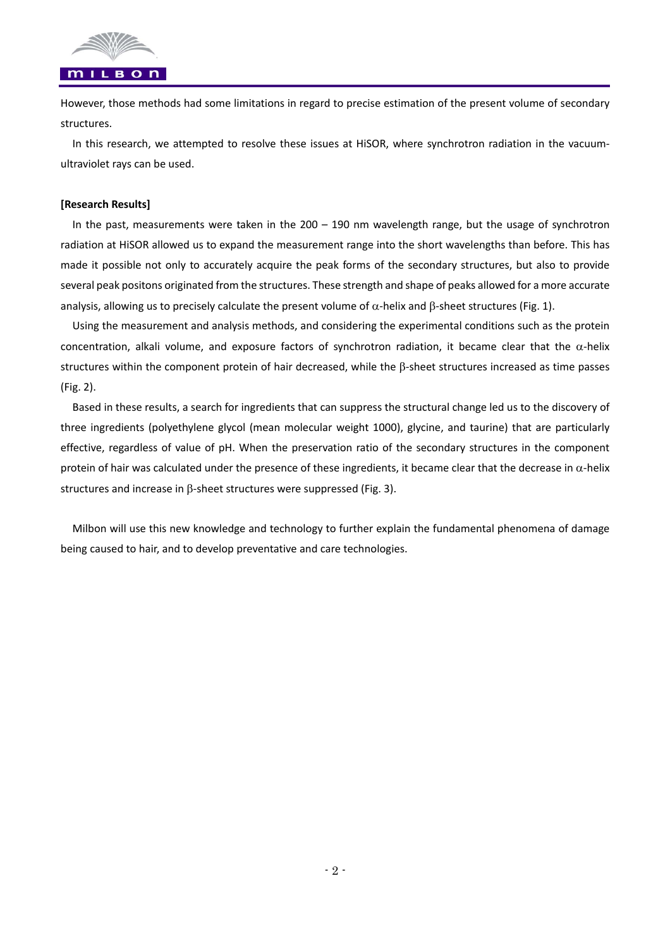

However, those methods had some limitations in regard to precise estimation of the present volume of secondary structures.

In this research, we attempted to resolve these issues at HiSOR, where synchrotron radiation in the vacuumultraviolet rays can be used.

## **[Research Results]**

In the past, measurements were taken in the  $200 - 190$  nm wavelength range, but the usage of synchrotron radiation at HiSOR allowed us to expand the measurement range into the short wavelengths than before. This has made it possible not only to accurately acquire the peak forms of the secondary structures, but also to provide several peak positons originated from the structures. These strength and shape of peaks allowed for a more accurate analysis, allowing us to precisely calculate the present volume of  $\alpha$ -helix and  $\beta$ -sheet structures (Fig. 1).

Using the measurement and analysis methods, and considering the experimental conditions such as the protein concentration, alkali volume, and exposure factors of synchrotron radiation, it became clear that the  $\alpha$ -helix structures within the component protein of hair decreased, while the  $\beta$ -sheet structures increased as time passes (Fig. 2).

Based in these results, a search for ingredients that can suppress the structural change led us to the discovery of three ingredients (polyethylene glycol (mean molecular weight 1000), glycine, and taurine) that are particularly effective, regardless of value of  $pH$ . When the preservation ratio of the secondary structures in the component protein of hair was calculated under the presence of these ingredients, it became clear that the decrease in  $\alpha$ -helix structures and increase in  $\beta$ -sheet structures were suppressed (Fig. 3).

Milbon will use this new knowledge and technology to further explain the fundamental phenomena of damage being caused to hair, and to develop preventative and care technologies.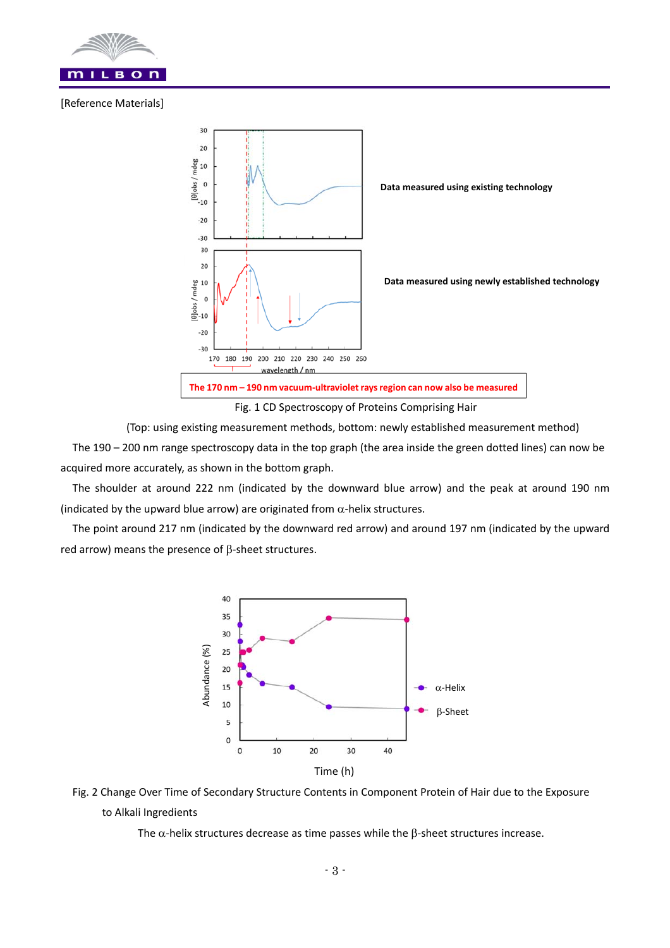

## [Reference Materials]



(Top: using existing measurement methods, bottom: newly established measurement method)

The 190 – 200 nm range spectroscopy data in the top graph (the area inside the green dotted lines) can now be acquired more accurately, as shown in the bottom graph.

The shoulder at around 222 nm (indicated by the downward blue arrow) and the peak at around 190 nm (indicated by the upward blue arrow) are originated from  $\alpha$ -helix structures.

The point around 217 nm (indicated by the downward red arrow) and around 197 nm (indicated by the upward red arrow) means the presence of  $\beta$ -sheet structures.





The  $\alpha$ -helix structures decrease as time passes while the  $\beta$ -sheet structures increase.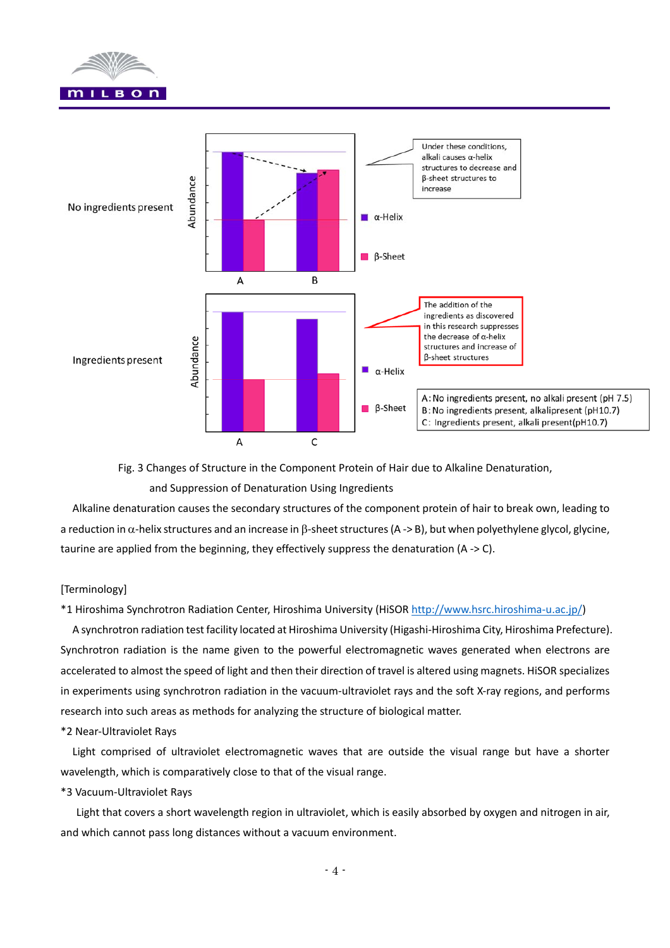



Fig. 3 Changes of Structure in the Component Protein of Hair due to Alkaline Denaturation,

and Suppression of Denaturation Using Ingredients

Alkaline denaturation causes the secondary structures of the component protein of hair to break own, leading to a reduction in  $\alpha$ -helix structures and an increase in  $\beta$ -sheet structures (A -> B), but when polyethylene glycol, glycine, taurine are applied from the beginning, they effectively suppress the denaturation  $(A \rightarrow C)$ .

## [Terminology]

\*1 Hiroshima Synchrotron Radiation Center, Hiroshima University (HiSOR http://www.hsrc.hiroshima‐u.ac.jp/)

A synchrotron radiation test facility located at Hiroshima University (Higashi‐Hiroshima City, Hiroshima Prefecture). Synchrotron radiation is the name given to the powerful electromagnetic waves generated when electrons are accelerated to almost the speed of light and then their direction of travel is altered using magnets. HiSOR specializes in experiments using synchrotron radiation in the vacuum‐ultraviolet rays and the soft X‐ray regions, and performs research into such areas as methods for analyzing the structure of biological matter.

## \*2 Near‐Ultraviolet Rays

Light comprised of ultraviolet electromagnetic waves that are outside the visual range but have a shorter wavelength, which is comparatively close to that of the visual range.

## \*3 Vacuum‐Ultraviolet Rays

 Light that covers a short wavelength region in ultraviolet, which is easily absorbed by oxygen and nitrogen in air, and which cannot pass long distances without a vacuum environment.